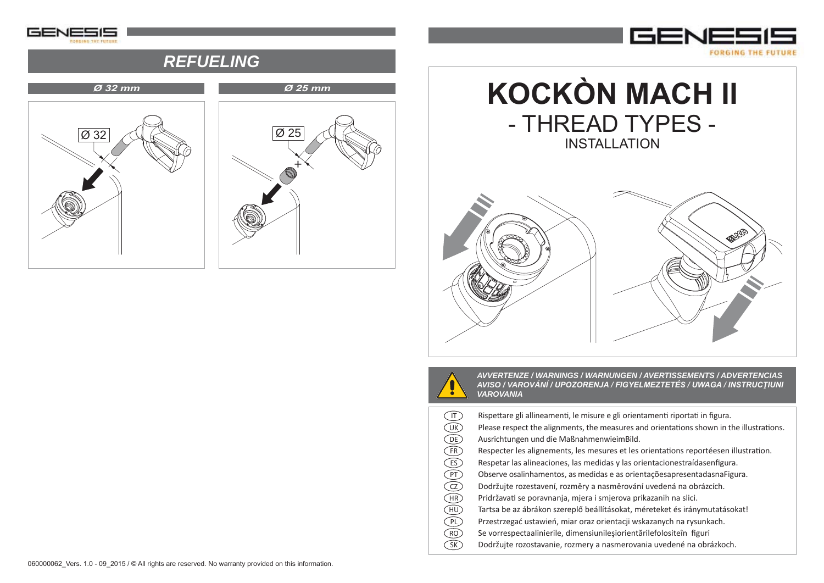

## *REFUELING*







*AVVERTENZE / WARNINGS / WARNUNGEN / AVERTISSEMENTS / ADVERTENCIAS AVISO / VAROVÁNÍ / UPOZORENJA / FIGYELMEZTETÉS / UWAGA / INSTRUCŢIUNI VAROVANIA*

Rispettare gli allineamenti, le misure e gli orientamenti riportati in figura. Please respect the alignments, the measures and orientations shown in the illustrations. Ausrichtungen und die MaßnahmenwieimBild. Respecter les alignements, les mesures et les orientations reportéesen illustration. Respetar las alineaciones, las medidas y las orientacionestraídasenfigura. Observe osalinhamentos, as medidas e as orientaçõesapresentadasnaFigura. Dodržujte rozestavení, rozměry a nasměrování uvedená na obrázcích. PridržavaƟ se poravnanja, mjera i smjerova prikazanih na slici. Tartsa be az ábrákon szereplő beállításokat, méreteket és iránymutatásokat! Przestrzegać ustawień, miar oraz orientacji wskazanych na rysunkach. Se vorrespectaalinierile, dimensiunileşiorientărilefolositeîn figuri Dodržujte rozostavanie, rozmery a nasmerovania uvedené na obrázkoch. Ⅱ)(B)(B)(E)(E)(β)(F)(U)(H)(H)(P)(α)(S)